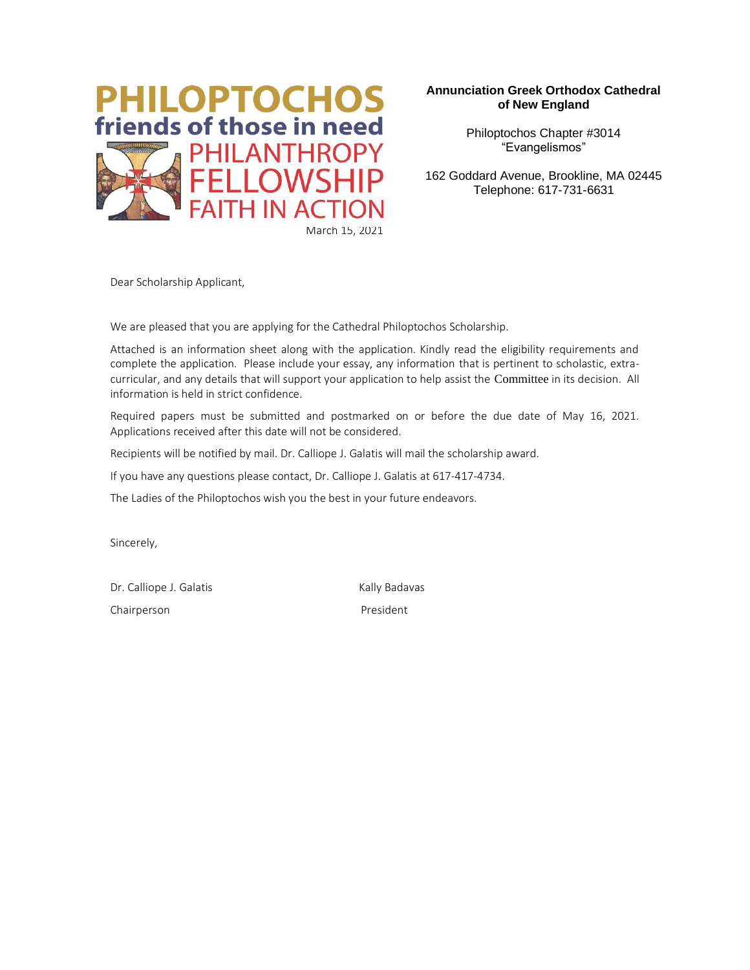

#### **Annunciation Greek Orthodox Cathedral of New England**

Philoptochos Chapter #3014 "Evangelismos"

162 Goddard Avenue, Brookline, MA 02445 Telephone: 617-731-6631

Dear Scholarship Applicant,

We are pleased that you are applying for the Cathedral Philoptochos Scholarship.

Attached is an information sheet along with the application. Kindly read the eligibility requirements and complete the application. Please include your essay, any information that is pertinent to scholastic, extracurricular, and any details that will support your application to help assist the Committee in its decision. All information is held in strict confidence.

Required papers must be submitted and postmarked on or before the due date of May 16, 2021. Applications received after this date will not be considered.

Recipients will be notified by mail. Dr. Calliope J. Galatis will mail the scholarship award.

If you have any questions please contact, Dr. Calliope J. Galatis at 617-417-4734.

The Ladies of the Philoptochos wish you the best in your future endeavors.

Sincerely,

Dr. Calliope J. Galatis Kally Badavas Chairperson **President**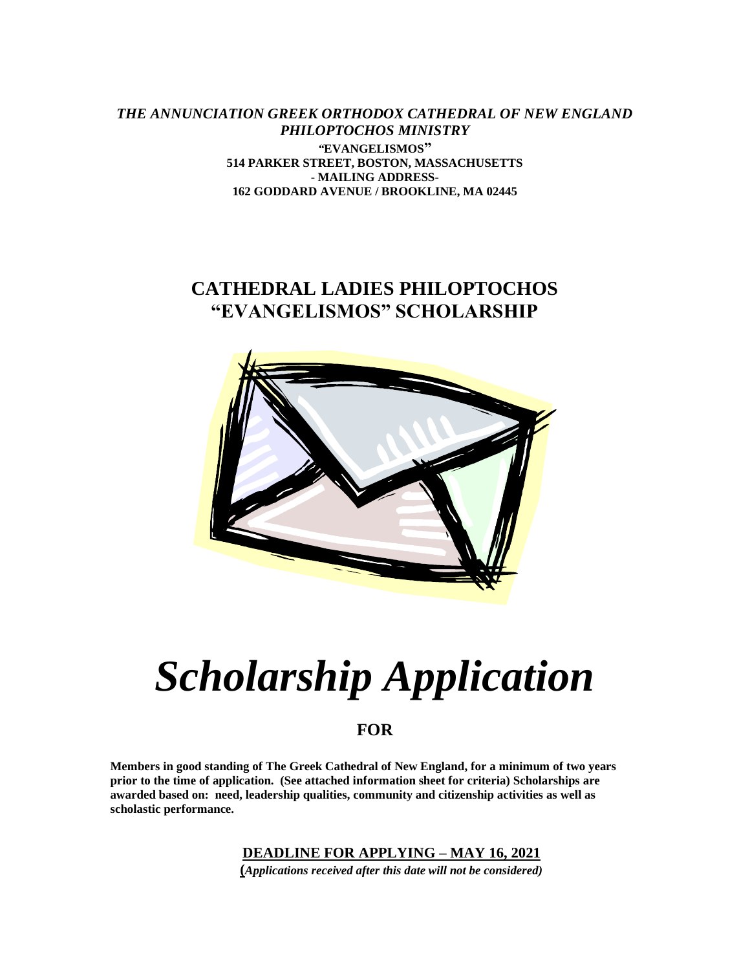*THE ANNUNCIATION GREEK ORTHODOX CATHEDRAL OF NEW ENGLAND PHILOPTOCHOS MINISTRY "***EVANGELISMOS" 514 PARKER STREET, BOSTON, MASSACHUSETTS - MAILING ADDRESS-162 GODDARD AVENUE / BROOKLINE, MA 02445**

## **CATHEDRAL LADIES PHILOPTOCHOS "EVANGELISMOS" SCHOLARSHIP**



# *Scholarship Application*

## **FOR**

**Members in good standing of The Greek Cathedral of New England, for a minimum of two years prior to the time of application. (See attached information sheet for criteria) Scholarships are awarded based on: need, leadership qualities, community and citizenship activities as well as scholastic performance.**

**DEADLINE FOR APPLYING – MAY 16, 2021**

**(***Applications received after this date will not be considered)*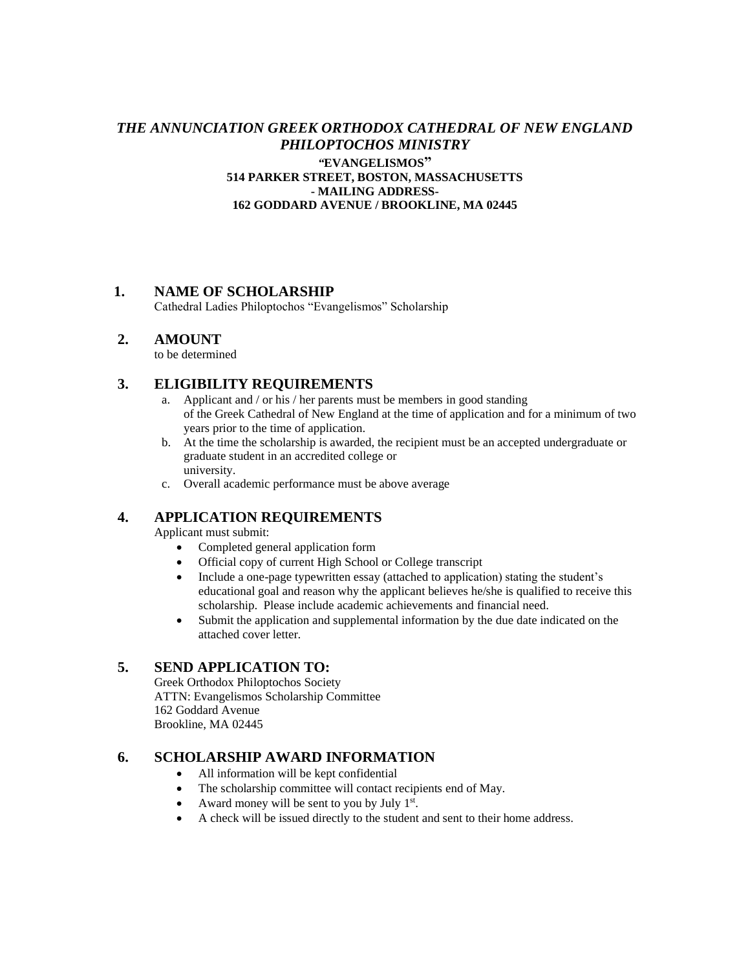#### *THE ANNUNCIATION GREEK ORTHODOX CATHEDRAL OF NEW ENGLAND PHILOPTOCHOS MINISTRY "***EVANGELISMOS" 514 PARKER STREET, BOSTON, MASSACHUSETTS - MAILING ADDRESS-162 GODDARD AVENUE / BROOKLINE, MA 02445**

#### **1. NAME OF SCHOLARSHIP**

Cathedral Ladies Philoptochos "Evangelismos" Scholarship

#### **2. AMOUNT**

to be determined

#### **3. ELIGIBILITY REQUIREMENTS**

- a. Applicant and / or his / her parents must be members in good standing of the Greek Cathedral of New England at the time of application and for a minimum of two years prior to the time of application.
- b. At the time the scholarship is awarded, the recipient must be an accepted undergraduate or graduate student in an accredited college or university.
- c. Overall academic performance must be above average

#### **4. APPLICATION REQUIREMENTS**

Applicant must submit:

- Completed general application form
- Official copy of current High School or College transcript
- Include a one-page typewritten essay (attached to application) stating the student's educational goal and reason why the applicant believes he/she is qualified to receive this scholarship. Please include academic achievements and financial need.
- Submit the application and supplemental information by the due date indicated on the attached cover letter.

#### **5. SEND APPLICATION TO:**

Greek Orthodox Philoptochos Society ATTN: Evangelismos Scholarship Committee 162 Goddard Avenue Brookline, MA 02445

#### **6. SCHOLARSHIP AWARD INFORMATION**

- All information will be kept confidential
- The scholarship committee will contact recipients end of May.
- Award money will be sent to you by July  $1<sup>st</sup>$ .
- A check will be issued directly to the student and sent to their home address.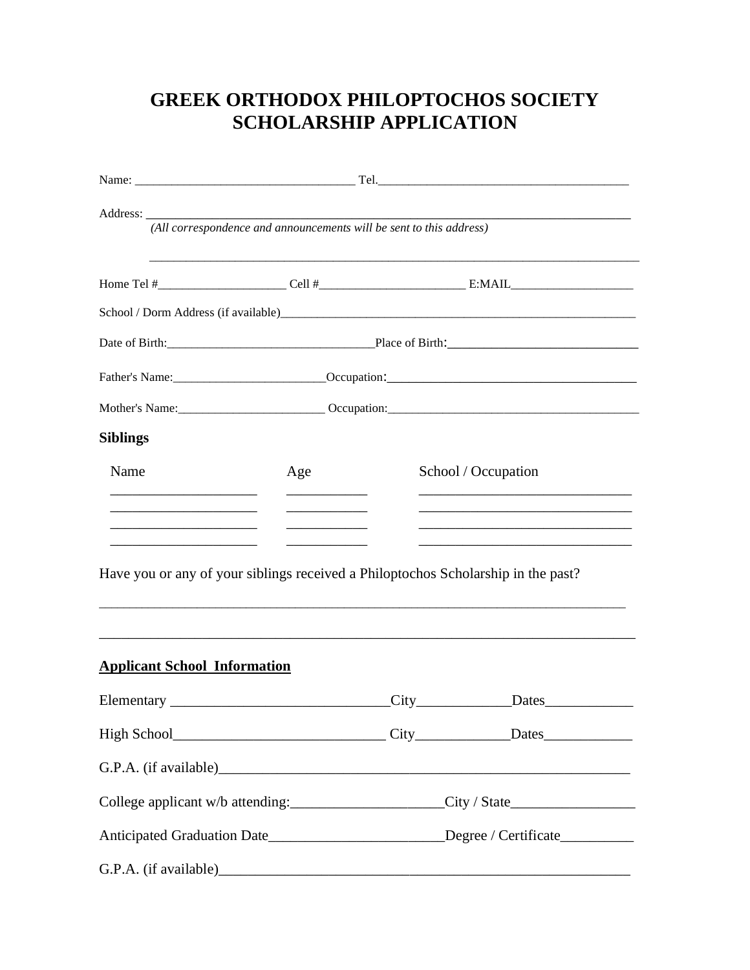# **GREEK ORTHODOX PHILOPTOCHOS SOCIETY SCHOLARSHIP APPLICATION**

| (All correspondence and announcements will be sent to this address)                                                                              |                                        |                                                                                        |                                               |  |  |
|--------------------------------------------------------------------------------------------------------------------------------------------------|----------------------------------------|----------------------------------------------------------------------------------------|-----------------------------------------------|--|--|
|                                                                                                                                                  |                                        |                                                                                        |                                               |  |  |
|                                                                                                                                                  |                                        |                                                                                        |                                               |  |  |
|                                                                                                                                                  | Date of Birth: Place of Birth:         |                                                                                        |                                               |  |  |
|                                                                                                                                                  |                                        |                                                                                        |                                               |  |  |
|                                                                                                                                                  | Mother's Name: Comparison: Comparison: |                                                                                        |                                               |  |  |
| <b>Siblings</b>                                                                                                                                  |                                        |                                                                                        |                                               |  |  |
| Name                                                                                                                                             | Age                                    | School / Occupation                                                                    |                                               |  |  |
|                                                                                                                                                  |                                        |                                                                                        |                                               |  |  |
| the control of the control of the control of the control of<br>Have you or any of your siblings received a Philoptochos Scholarship in the past? |                                        |                                                                                        |                                               |  |  |
| <b>Applicant School Information</b>                                                                                                              |                                        |                                                                                        |                                               |  |  |
|                                                                                                                                                  |                                        |                                                                                        |                                               |  |  |
|                                                                                                                                                  |                                        |                                                                                        |                                               |  |  |
|                                                                                                                                                  |                                        |                                                                                        |                                               |  |  |
|                                                                                                                                                  |                                        |                                                                                        | College applicant w/b attending: City / State |  |  |
|                                                                                                                                                  |                                        | Anticipated Graduation Date_____________________________Degree / Certificate__________ |                                               |  |  |
|                                                                                                                                                  |                                        |                                                                                        |                                               |  |  |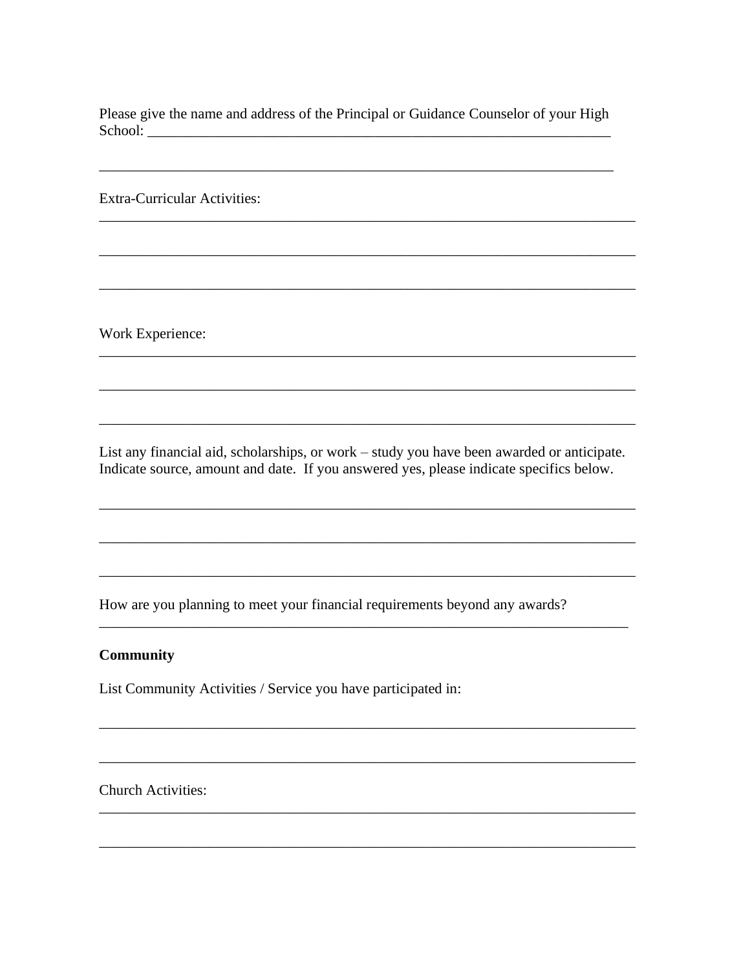Please give the name and address of the Principal or Guidance Counselor of your High 

**Extra-Curricular Activities:** 

Work Experience:

List any financial aid, scholarships, or work – study you have been awarded or anticipate. Indicate source, amount and date. If you answered yes, please indicate specifics below.

How are you planning to meet your financial requirements beyond any awards?

#### **Community**

List Community Activities / Service you have participated in:

**Church Activities:**